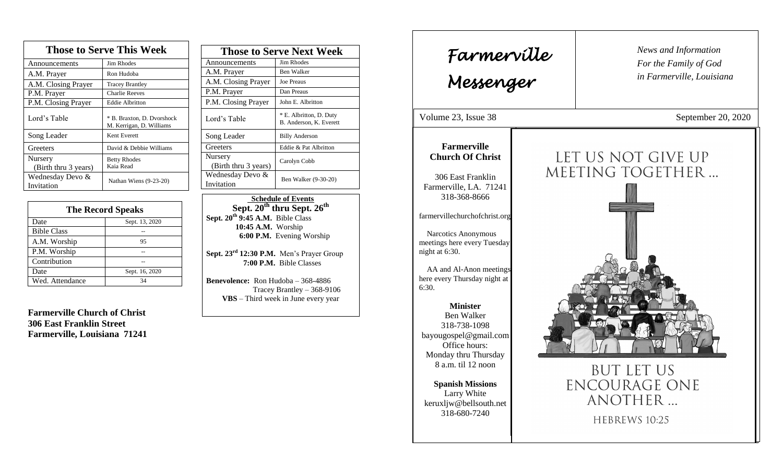| <b>Those to Serve This Week</b> |                                                        |  |
|---------------------------------|--------------------------------------------------------|--|
| Announcements                   | Jim Rhodes                                             |  |
| A.M. Prayer                     | Ron Hudoba                                             |  |
| A.M. Closing Prayer             | <b>Tracey Brantley</b>                                 |  |
| P.M. Prayer                     | <b>Charlie Reeves</b>                                  |  |
| P.M. Closing Prayer             | <b>Eddie Albritton</b>                                 |  |
| Lord's Table                    | * B. Braxton, D. Dvorshock<br>M. Kerrigan, D. Williams |  |
| Song Leader                     | Kent Everett                                           |  |
| Greeters                        | David & Debbie Williams                                |  |
| Nursery<br>(Birth thru 3 years) | <b>Betty Rhodes</b><br>Kaia Read                       |  |
| Wednesday Devo &<br>Invitation  | Nathan Wiens (9-23-20)                                 |  |

| <b>The Record Speaks</b> |                |
|--------------------------|----------------|
| Date                     | Sept. 13, 2020 |
| <b>Bible Class</b>       |                |
| A.M. Worship             | 95             |
| P.M. Worship             |                |
| Contribution             |                |
| Date                     | Sept. 16, 2020 |
| Wed. Attendance          | 34             |

**Farmerville Church of Christ 306 East Franklin Street Farmerville, Louisiana 71241**

| <b>Those to Serve Next Week</b> |                                                    |
|---------------------------------|----------------------------------------------------|
| Announcements                   | Jim Rhodes                                         |
| A.M. Prayer                     | <b>Ben Walker</b>                                  |
| A.M. Closing Prayer             | <b>Joe Preaus</b>                                  |
| P.M. Prayer                     | Dan Preaus                                         |
| P.M. Closing Prayer             | John E. Albritton                                  |
| Lord's Table                    | * E. Albritton, D. Duty<br>B. Anderson, K. Everett |
| Song Leader                     | <b>Billy Anderson</b>                              |
| Greeters                        | Eddie & Pat Albritton                              |
| Nursery<br>(Birth thru 3 years) | Carolyn Cobb                                       |
| Wednesday Devo &<br>Invitation  | Ben Walker (9-30-20)                               |

 **Schedule of Events Sept. 20th thru Sept. 26th Sept. 20th 9:45 A.M.** Bible Class **10:45 A.M.** Worship  **6:00 P.M.** Evening Worship

**Sept. 23rd 12:30 P.M.** Men's Prayer Group **7:00 P.M.** Bible Classes

**Benevolence:** Ron Hudoba – 368-4886 Tracey Brantley – 368-9106 **VBS** – Third week in June every year